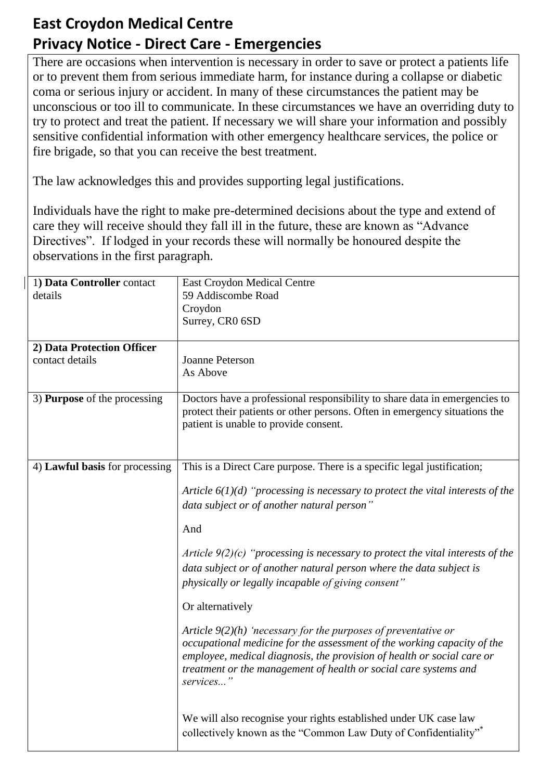## **East Croydon Medical Centre Privacy Notice - Direct Care - Emergencies**

There are occasions when intervention is necessary in order to save or protect a patients life or to prevent them from serious immediate harm, for instance during a collapse or diabetic coma or serious injury or accident. In many of these circumstances the patient may be unconscious or too ill to communicate. In these circumstances we have an overriding duty to try to protect and treat the patient. If necessary we will share your information and possibly sensitive confidential information with other emergency healthcare services, the police or fire brigade, so that you can receive the best treatment.

The law acknowledges this and provides supporting legal justifications.

Individuals have the right to make pre-determined decisions about the type and extend of care they will receive should they fall ill in the future, these are known as "Advance Directives". If lodged in your records these will normally be honoured despite the observations in the first paragraph.

| 1) Data Controller contact<br>details         | <b>East Croydon Medical Centre</b><br>59 Addiscombe Road<br>Croydon<br>Surrey, CR0 6SD                                                                                                                                                                                                                                                                                                                                                                                                                                                                                                                                                                                                                                                                                                                                                                                                                |
|-----------------------------------------------|-------------------------------------------------------------------------------------------------------------------------------------------------------------------------------------------------------------------------------------------------------------------------------------------------------------------------------------------------------------------------------------------------------------------------------------------------------------------------------------------------------------------------------------------------------------------------------------------------------------------------------------------------------------------------------------------------------------------------------------------------------------------------------------------------------------------------------------------------------------------------------------------------------|
| 2) Data Protection Officer<br>contact details | <b>Joanne Peterson</b><br>As Above                                                                                                                                                                                                                                                                                                                                                                                                                                                                                                                                                                                                                                                                                                                                                                                                                                                                    |
| 3) <b>Purpose</b> of the processing           | Doctors have a professional responsibility to share data in emergencies to<br>protect their patients or other persons. Often in emergency situations the<br>patient is unable to provide consent.                                                                                                                                                                                                                                                                                                                                                                                                                                                                                                                                                                                                                                                                                                     |
| 4) Lawful basis for processing                | This is a Direct Care purpose. There is a specific legal justification;<br>Article $6(1)(d)$ "processing is necessary to protect the vital interests of the<br>data subject or of another natural person"<br>And<br>Article $9(2)(c)$ "processing is necessary to protect the vital interests of the<br>data subject or of another natural person where the data subject is<br>physically or legally incapable of giving consent"<br>Or alternatively<br>Article $9(2)(h)$ 'necessary for the purposes of preventative or<br>occupational medicine for the assessment of the working capacity of the<br>employee, medical diagnosis, the provision of health or social care or<br>treatment or the management of health or social care systems and<br>services"<br>We will also recognise your rights established under UK case law<br>collectively known as the "Common Law Duty of Confidentiality" |